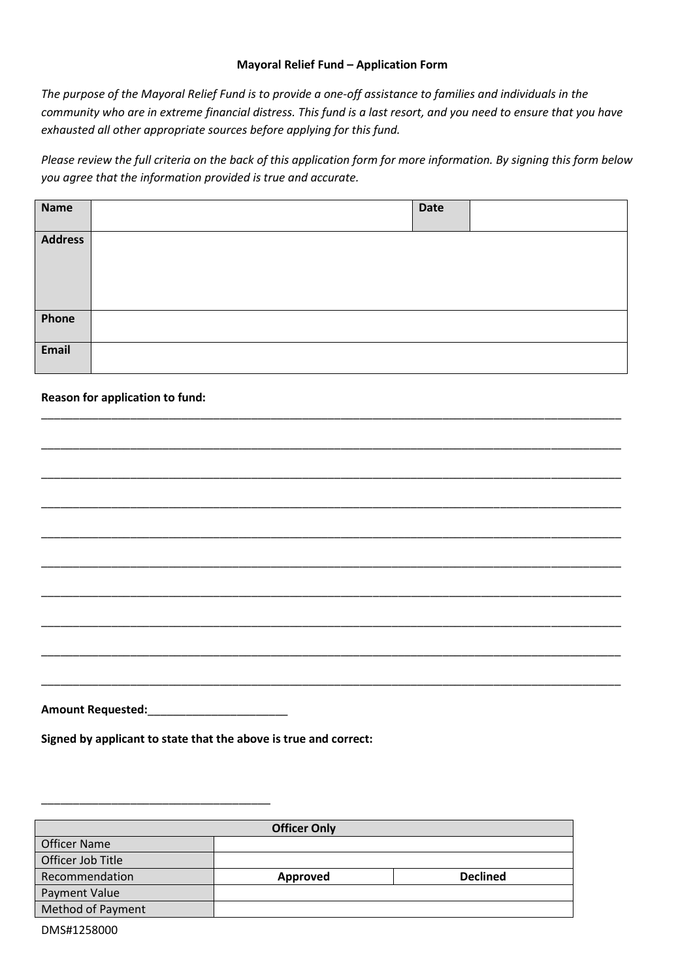# **Mayoral Relief Fund – Application Form**

*The purpose of the Mayoral Relief Fund is to provide a one-off assistance to families and individuals in the community who are in extreme financial distress. This fund is a last resort, and you need to ensure that you have exhausted all other appropriate sources before applying for this fund.*

*Please review the full criteria on the back of this application form for more information. By signing this form below you agree that the information provided is true and accurate.* 

| <b>Name</b>    | <b>Date</b> |  |
|----------------|-------------|--|
| <b>Address</b> |             |  |
| Phone          |             |  |
| Email          |             |  |

\_\_\_\_\_\_\_\_\_\_\_\_\_\_\_\_\_\_\_\_\_\_\_\_\_\_\_\_\_\_\_\_\_\_\_\_\_\_\_\_\_\_\_\_\_\_\_\_\_\_\_\_\_\_\_\_\_\_\_\_\_\_\_\_\_\_\_\_\_\_\_\_\_\_\_\_\_\_\_\_\_\_\_\_\_\_\_\_\_\_\_

\_\_\_\_\_\_\_\_\_\_\_\_\_\_\_\_\_\_\_\_\_\_\_\_\_\_\_\_\_\_\_\_\_\_\_\_\_\_\_\_\_\_\_\_\_\_\_\_\_\_\_\_\_\_\_\_\_\_\_\_\_\_\_\_\_\_\_\_\_\_\_\_\_\_\_\_\_\_\_\_\_\_\_\_\_\_\_\_\_\_\_

\_\_\_\_\_\_\_\_\_\_\_\_\_\_\_\_\_\_\_\_\_\_\_\_\_\_\_\_\_\_\_\_\_\_\_\_\_\_\_\_\_\_\_\_\_\_\_\_\_\_\_\_\_\_\_\_\_\_\_\_\_\_\_\_\_\_\_\_\_\_\_\_\_\_\_\_\_\_\_\_\_\_\_\_\_\_\_\_\_\_\_

\_\_\_\_\_\_\_\_\_\_\_\_\_\_\_\_\_\_\_\_\_\_\_\_\_\_\_\_\_\_\_\_\_\_\_\_\_\_\_\_\_\_\_\_\_\_\_\_\_\_\_\_\_\_\_\_\_\_\_\_\_\_\_\_\_\_\_\_\_\_\_\_\_\_\_\_\_\_\_\_\_\_\_\_\_\_\_\_\_\_\_

\_\_\_\_\_\_\_\_\_\_\_\_\_\_\_\_\_\_\_\_\_\_\_\_\_\_\_\_\_\_\_\_\_\_\_\_\_\_\_\_\_\_\_\_\_\_\_\_\_\_\_\_\_\_\_\_\_\_\_\_\_\_\_\_\_\_\_\_\_\_\_\_\_\_\_\_\_\_\_\_\_\_\_\_\_\_\_\_\_\_\_

\_\_\_\_\_\_\_\_\_\_\_\_\_\_\_\_\_\_\_\_\_\_\_\_\_\_\_\_\_\_\_\_\_\_\_\_\_\_\_\_\_\_\_\_\_\_\_\_\_\_\_\_\_\_\_\_\_\_\_\_\_\_\_\_\_\_\_\_\_\_\_\_\_\_\_\_\_\_\_\_\_\_\_\_\_\_\_\_\_\_\_

\_\_\_\_\_\_\_\_\_\_\_\_\_\_\_\_\_\_\_\_\_\_\_\_\_\_\_\_\_\_\_\_\_\_\_\_\_\_\_\_\_\_\_\_\_\_\_\_\_\_\_\_\_\_\_\_\_\_\_\_\_\_\_\_\_\_\_\_\_\_\_\_\_\_\_\_\_\_\_\_\_\_\_\_\_\_\_\_\_\_\_

\_\_\_\_\_\_\_\_\_\_\_\_\_\_\_\_\_\_\_\_\_\_\_\_\_\_\_\_\_\_\_\_\_\_\_\_\_\_\_\_\_\_\_\_\_\_\_\_\_\_\_\_\_\_\_\_\_\_\_\_\_\_\_\_\_\_\_\_\_\_\_\_\_\_\_\_\_\_\_\_\_\_\_\_\_\_\_\_\_\_\_

\_\_\_\_\_\_\_\_\_\_\_\_\_\_\_\_\_\_\_\_\_\_\_\_\_\_\_\_\_\_\_\_\_\_\_\_\_\_\_\_\_\_\_\_\_\_\_\_\_\_\_\_\_\_\_\_\_\_\_\_\_\_\_\_\_\_\_\_\_\_\_\_\_\_\_\_\_\_\_\_\_\_\_\_\_\_\_\_\_\_\_

\_\_\_\_\_\_\_\_\_\_\_\_\_\_\_\_\_\_\_\_\_\_\_\_\_\_\_\_\_\_\_\_\_\_\_\_\_\_\_\_\_\_\_\_\_\_\_\_\_\_\_\_\_\_\_\_\_\_\_\_\_\_\_\_\_\_\_\_\_\_\_\_\_\_\_\_\_\_\_\_\_\_\_\_\_\_\_\_\_\_\_

# **Reason for application to fund:**

**Amount Requested:**\_\_\_\_\_\_\_\_\_\_\_\_\_\_\_\_\_\_\_\_\_\_

**Signed by applicant to state that the above is true and correct:**

| <b>Officer Only</b>      |          |                 |  |  |  |
|--------------------------|----------|-----------------|--|--|--|
| <b>Officer Name</b>      |          |                 |  |  |  |
| Officer Job Title        |          |                 |  |  |  |
| Recommendation           | Approved | <b>Declined</b> |  |  |  |
| Payment Value            |          |                 |  |  |  |
| <b>Method of Payment</b> |          |                 |  |  |  |